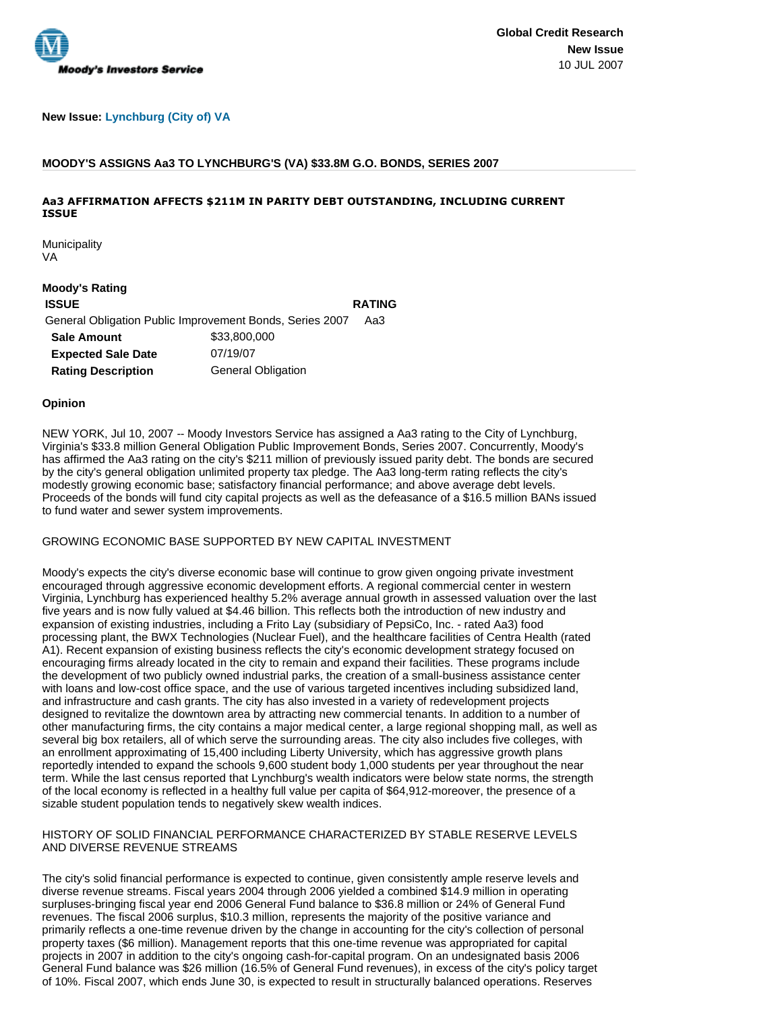

### **New Issue: Lynchburg (City of) VA**

### **MOODY'S ASSIGNS Aa3 TO LYNCHBURG'S (VA) \$33.8M G.O. BONDS, SERIES 2007**

## **Aa3 AFFIRMATION AFFECTS \$211M IN PARITY DEBT OUTSTANDING, INCLUDING CURRENT ISSUE**

Municipality VA

### **Moody's Rating**

**ISSUE RATING** General Obligation Public Improvement Bonds, Series 2007 Aa3 **Sale Amount** \$33,800,000 **Expected Sale Date** 07/19/07 **Rating Description General Obligation** 

#### **Opinion**

NEW YORK, Jul 10, 2007 -- Moody Investors Service has assigned a Aa3 rating to the City of Lynchburg, Virginia's \$33.8 million General Obligation Public Improvement Bonds, Series 2007. Concurrently, Moody's has affirmed the Aa3 rating on the city's \$211 million of previously issued parity debt. The bonds are secured by the city's general obligation unlimited property tax pledge. The Aa3 long-term rating reflects the city's modestly growing economic base; satisfactory financial performance; and above average debt levels. Proceeds of the bonds will fund city capital projects as well as the defeasance of a \$16.5 million BANs issued to fund water and sewer system improvements.

# GROWING ECONOMIC BASE SUPPORTED BY NEW CAPITAL INVESTMENT

Moody's expects the city's diverse economic base will continue to grow given ongoing private investment encouraged through aggressive economic development efforts. A regional commercial center in western Virginia, Lynchburg has experienced healthy 5.2% average annual growth in assessed valuation over the last five years and is now fully valued at \$4.46 billion. This reflects both the introduction of new industry and expansion of existing industries, including a Frito Lay (subsidiary of PepsiCo, Inc. - rated Aa3) food processing plant, the BWX Technologies (Nuclear Fuel), and the healthcare facilities of Centra Health (rated A1). Recent expansion of existing business reflects the city's economic development strategy focused on encouraging firms already located in the city to remain and expand their facilities. These programs include the development of two publicly owned industrial parks, the creation of a small-business assistance center with loans and low-cost office space, and the use of various targeted incentives including subsidized land, and infrastructure and cash grants. The city has also invested in a variety of redevelopment projects designed to revitalize the downtown area by attracting new commercial tenants. In addition to a number of other manufacturing firms, the city contains a major medical center, a large regional shopping mall, as well as several big box retailers, all of which serve the surrounding areas. The city also includes five colleges, with an enrollment approximating of 15,400 including Liberty University, which has aggressive growth plans reportedly intended to expand the schools 9,600 student body 1,000 students per year throughout the near term. While the last census reported that Lynchburg's wealth indicators were below state norms, the strength of the local economy is reflected in a healthy full value per capita of \$64,912-moreover, the presence of a sizable student population tends to negatively skew wealth indices.

### HISTORY OF SOLID FINANCIAL PERFORMANCE CHARACTERIZED BY STABLE RESERVE LEVELS AND DIVERSE REVENUE STREAMS

The city's solid financial performance is expected to continue, given consistently ample reserve levels and diverse revenue streams. Fiscal years 2004 through 2006 yielded a combined \$14.9 million in operating surpluses-bringing fiscal year end 2006 General Fund balance to \$36.8 million or 24% of General Fund revenues. The fiscal 2006 surplus, \$10.3 million, represents the majority of the positive variance and primarily reflects a one-time revenue driven by the change in accounting for the city's collection of personal property taxes (\$6 million). Management reports that this one-time revenue was appropriated for capital projects in 2007 in addition to the city's ongoing cash-for-capital program. On an undesignated basis 2006 General Fund balance was \$26 million (16.5% of General Fund revenues), in excess of the city's policy target of 10%. Fiscal 2007, which ends June 30, is expected to result in structurally balanced operations. Reserves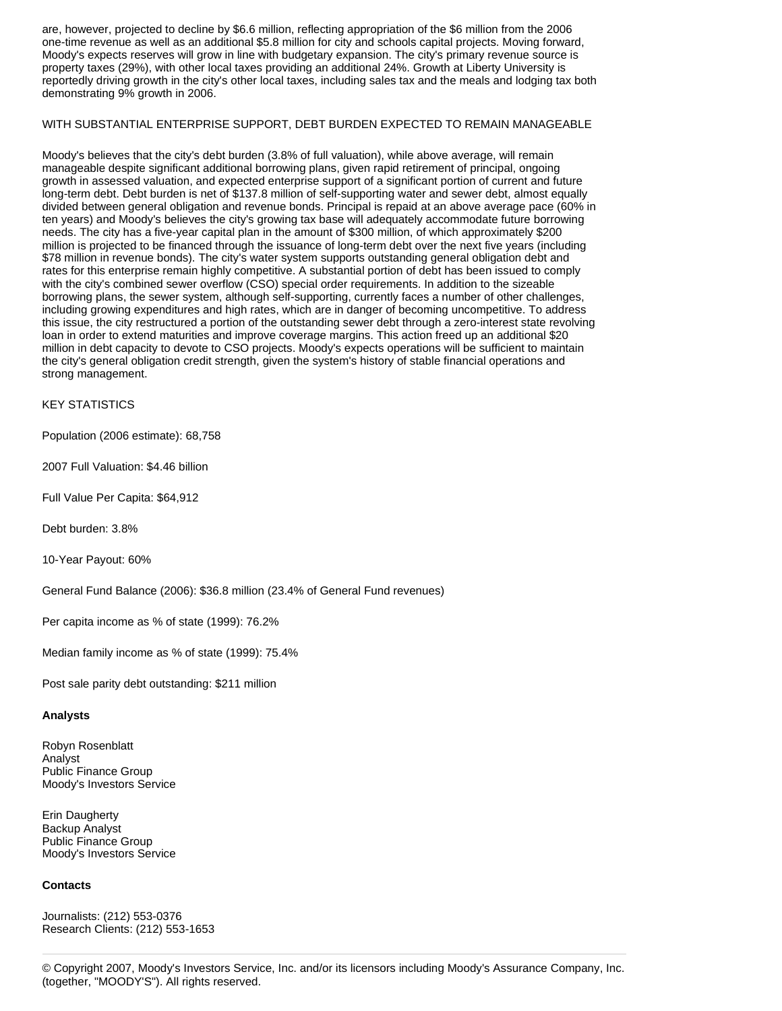are, however, projected to decline by \$6.6 million, reflecting appropriation of the \$6 million from the 2006 one-time revenue as well as an additional \$5.8 million for city and schools capital projects. Moving forward, Moody's expects reserves will grow in line with budgetary expansion. The city's primary revenue source is property taxes (29%), with other local taxes providing an additional 24%. Growth at Liberty University is reportedly driving growth in the city's other local taxes, including sales tax and the meals and lodging tax both demonstrating 9% growth in 2006.

#### WITH SUBSTANTIAL ENTERPRISE SUPPORT, DEBT BURDEN EXPECTED TO REMAIN MANAGEABLE

Moody's believes that the city's debt burden (3.8% of full valuation), while above average, will remain manageable despite significant additional borrowing plans, given rapid retirement of principal, ongoing growth in assessed valuation, and expected enterprise support of a significant portion of current and future long-term debt. Debt burden is net of \$137.8 million of self-supporting water and sewer debt, almost equally divided between general obligation and revenue bonds. Principal is repaid at an above average pace (60% in ten years) and Moody's believes the city's growing tax base will adequately accommodate future borrowing needs. The city has a five-year capital plan in the amount of \$300 million, of which approximately \$200 million is projected to be financed through the issuance of long-term debt over the next five years (including \$78 million in revenue bonds). The city's water system supports outstanding general obligation debt and rates for this enterprise remain highly competitive. A substantial portion of debt has been issued to comply with the city's combined sewer overflow (CSO) special order requirements. In addition to the sizeable borrowing plans, the sewer system, although self-supporting, currently faces a number of other challenges, including growing expenditures and high rates, which are in danger of becoming uncompetitive. To address this issue, the city restructured a portion of the outstanding sewer debt through a zero-interest state revolving loan in order to extend maturities and improve coverage margins. This action freed up an additional \$20 million in debt capacity to devote to CSO projects. Moody's expects operations will be sufficient to maintain the city's general obligation credit strength, given the system's history of stable financial operations and strong management.

### KEY STATISTICS

Population (2006 estimate): 68,758

2007 Full Valuation: \$4.46 billion

Full Value Per Capita: \$64,912

Debt burden: 3.8%

10-Year Payout: 60%

General Fund Balance (2006): \$36.8 million (23.4% of General Fund revenues)

Per capita income as % of state (1999): 76.2%

Median family income as % of state (1999): 75.4%

Post sale parity debt outstanding: \$211 million

#### **Analysts**

Robyn Rosenblatt Analyst Public Finance Group Moody's Investors Service

Erin Daugherty Backup Analyst Public Finance Group Moody's Investors Service

#### **Contacts**

Journalists: (212) 553-0376 Research Clients: (212) 553-1653